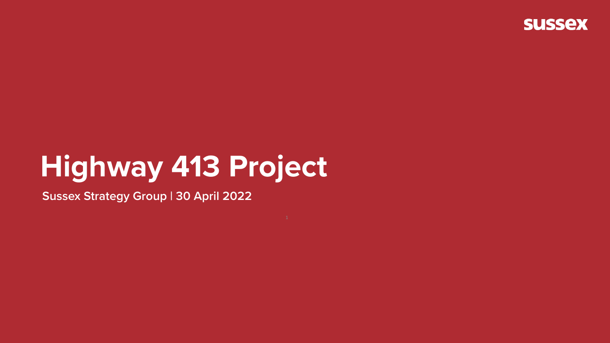## Highway 413 Project

**Sussex Strategy Group | 30 April 2022** 

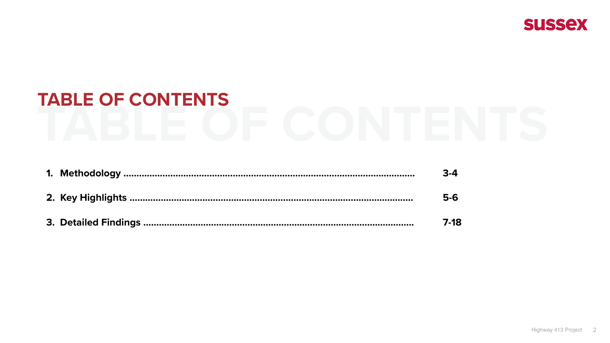# **TABLE OF CONTENTS**

|  | $3-4$ |
|--|-------|
|  | $5-6$ |
|  | 7-18  |





| . | $3 - 4$ |
|---|---------|
|   | $5-6$   |
|   | 7_12    |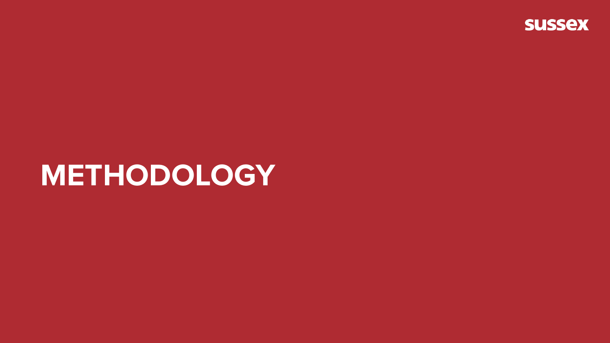### METHODOLOGY

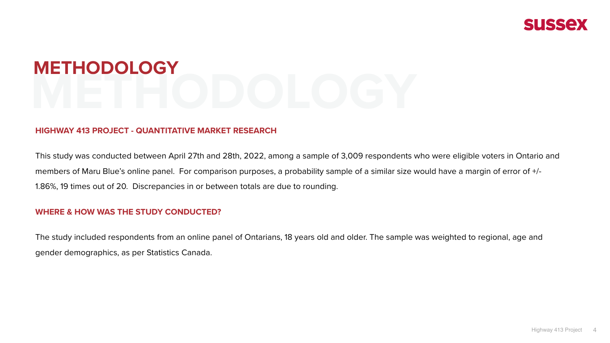### **HIGHWAY 413 PROJECT - QUANTITATIVE MARKET RESEARCH**

This study was conducted between April 27th and 28th, 2022, among a sample of 3,009 respondents who were eligible voters in Ontario and members of Maru Blue's online panel. For comparison purposes, a probability sample of a similar size would have a margin of error of +/- 1.86%, 19 times out of 20. Discrepancies in or between totals are due to rounding.

## **METHODOLOGY METHODOLOGY**

### **WHERE & HOW WAS THE STUDY CONDUCTED?**

The study included respondents from an online panel of Ontarians, 18 years old and older. The sample was weighted to regional, age and gender demographics, as per Statistics Canada.



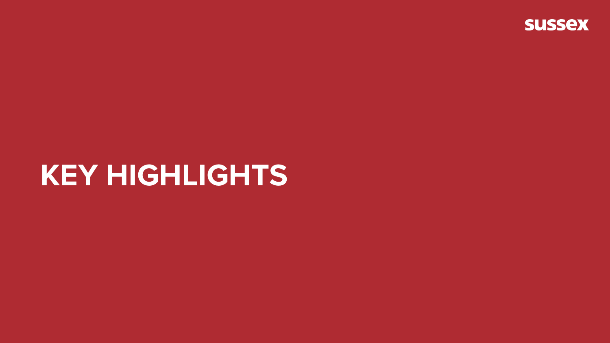### **KEY HIGHLIGHTS**

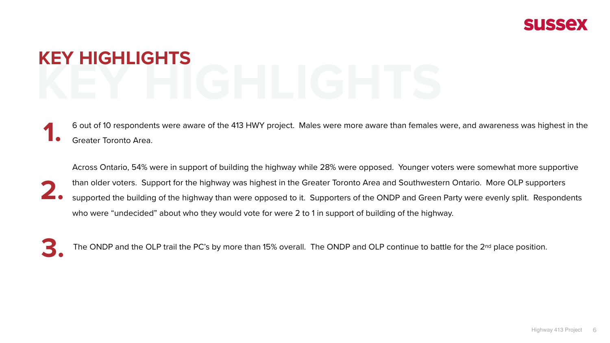- 6 out of 10 respondents were aware of the 413 HWY project. Males were more aware than females were, and awareness was highest in the **1.** Greater Toronto Area.
- Across Ontario, 54% were in support of building the highway while 28% were opposed. Younger voters were somewhat more supportive than older voters. Support for the highway was highest in the Greater Toronto Area and Southwestern Ontario. More OLP supporters supported the building of the highway than were opposed to it. Supporters of the ONDP and Green Party were evenly split. Respondents who were "undecided" about who they would vote for were 2 to 1 in support of building of the highway. **2.**
- 

The ONDP and the OLP trail the PC's by more than 15% overall. The ONDP and OLP continue to battle for the 2<sup>nd</sup> The ONDP and the OLP trail the PC's by more than 15% overall. The ONDP and OLP continue to battle for the 2<sup>nd</sup> place position.





## **KEY HIGHLIGHTS KEY HIGHLIGHTS**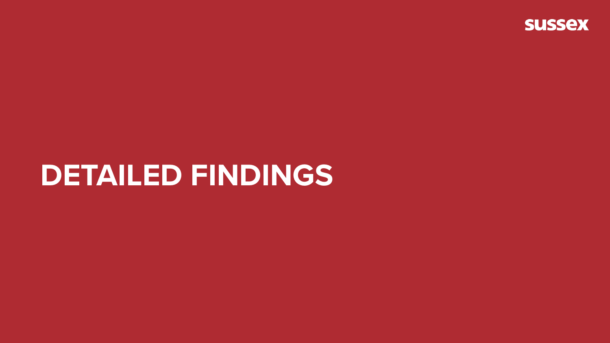### **DETAILED FINDINGS**

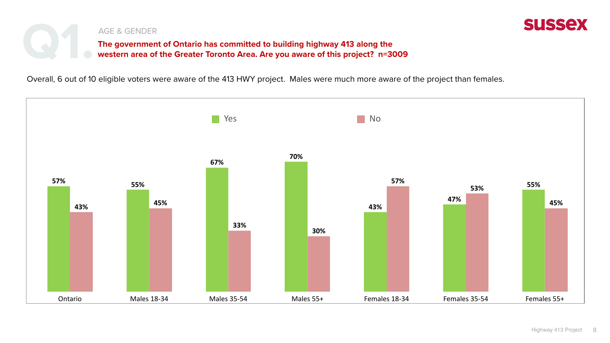Overall, 6 out of 10 eligible voters were aware of the 413 HWY project. Males were much more aware of the project than females.





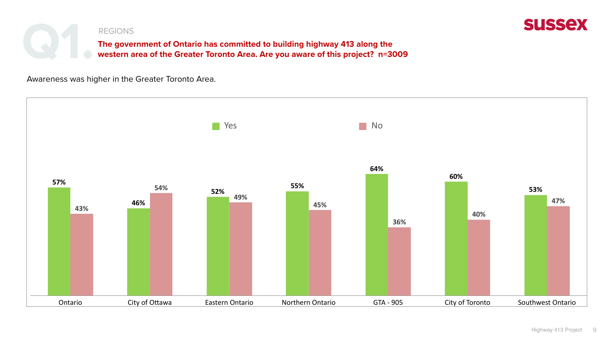





Awareness was higher in the Greater Toronto Area.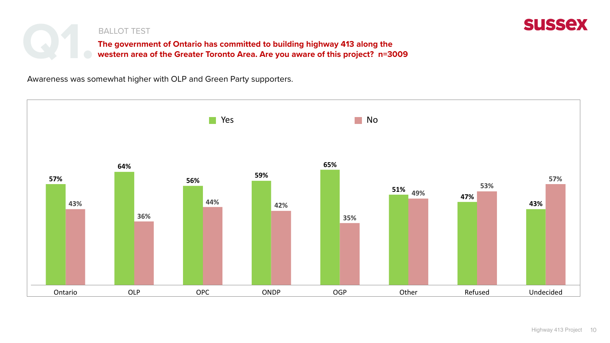





Awareness was somewhat higher with OLP and Green Party supporters.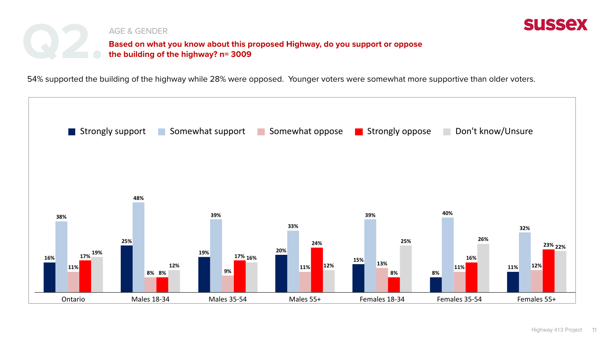





54% supported the building of the highway while 28% were opposed. Younger voters were somewhat more supportive than older voters.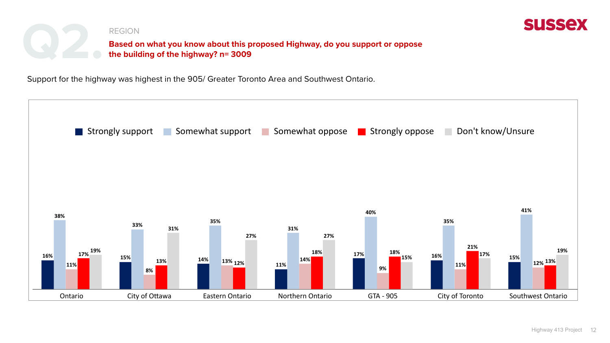





Support for the highway was highest in the 905/ Greater Toronto Area and Southwest Ontario.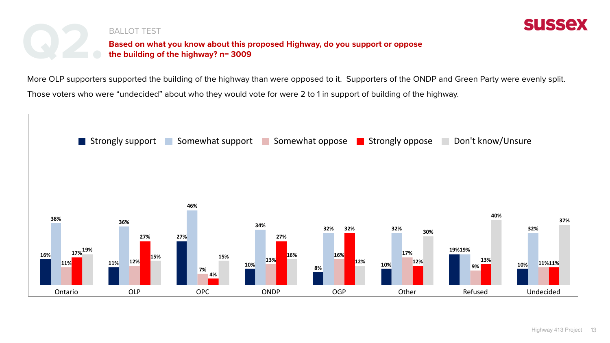





More OLP supporters supported the building of the highway than were opposed to it. Supporters of the ONDP and Green Party were evenly split. Those voters who were "undecided" about who they would vote for were 2 to 1 in support of building of the highway.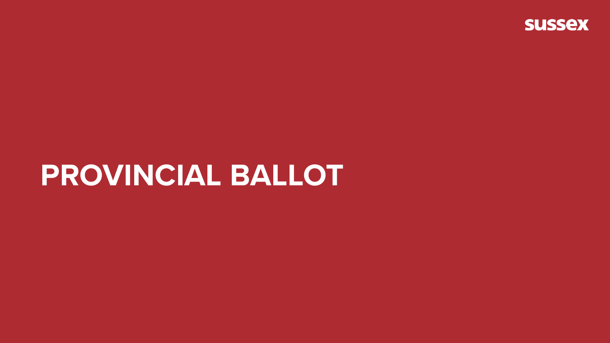### PROVINCIAL BALLOT

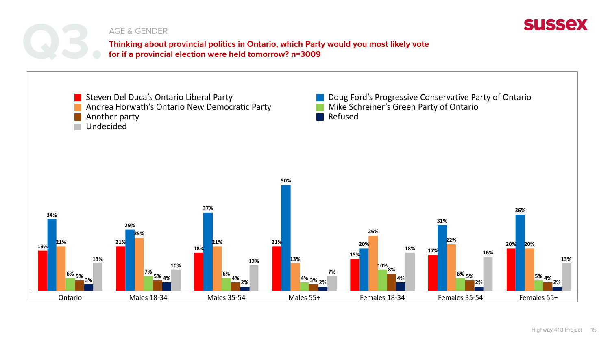



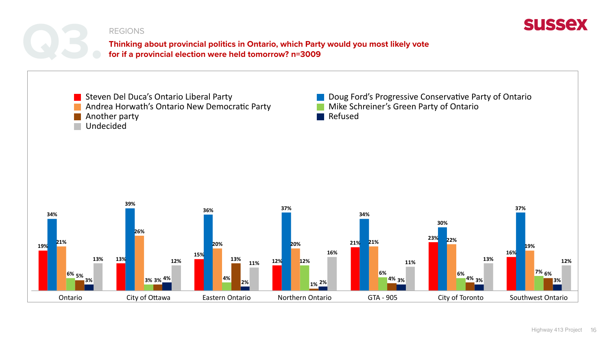



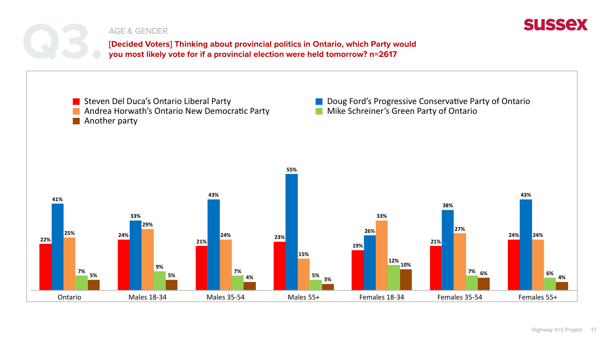